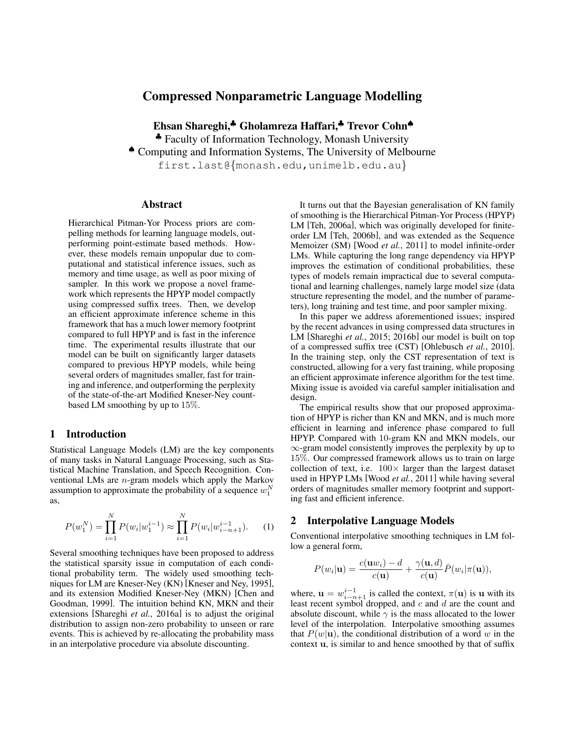# Compressed Nonparametric Language Modelling

Ehsan Shareghi,♣ Gholamreza Haffari,♣ Trevor Cohn♠

♣ Faculty of Information Technology, Monash University

♠ Computing and Information Systems, The University of Melbourne

first.last@{monash.edu,unimelb.edu.au}

### Abstract

Hierarchical Pitman-Yor Process priors are compelling methods for learning language models, outperforming point-estimate based methods. However, these models remain unpopular due to computational and statistical inference issues, such as memory and time usage, as well as poor mixing of sampler. In this work we propose a novel framework which represents the HPYP model compactly using compressed suffix trees. Then, we develop an efficient approximate inference scheme in this framework that has a much lower memory footprint compared to full HPYP and is fast in the inference time. The experimental results illustrate that our model can be built on significantly larger datasets compared to previous HPYP models, while being several orders of magnitudes smaller, fast for training and inference, and outperforming the perplexity of the state-of-the-art Modified Kneser-Ney countbased LM smoothing by up to 15%.

### 1 Introduction

Statistical Language Models (LM) are the key components of many tasks in Natural Language Processing, such as Statistical Machine Translation, and Speech Recognition. Conventional LMs are n-gram models which apply the Markov assumption to approximate the probability of a sequence  $w_1^N$ as,

$$
P(w_1^N) = \prod_{i=1}^N P(w_i|w_1^{i-1}) \approx \prod_{i=1}^N P(w_i|w_{i-n+1}^{i-1}).
$$
 (1)

Several smoothing techniques have been proposed to address the statistical sparsity issue in computation of each conditional probability term. The widely used smoothing techniques for LM are Kneser-Ney (KN) [Kneser and Ney, 1995], and its extension Modified Kneser-Ney (MKN) [Chen and Goodman, 1999]. The intuition behind KN, MKN and their extensions [Shareghi *et al.*, 2016a] is to adjust the original distribution to assign non-zero probability to unseen or rare events. This is achieved by re-allocating the probability mass in an interpolative procedure via absolute discounting.

It turns out that the Bayesian generalisation of KN family of smoothing is the Hierarchical Pitman-Yor Process (HPYP) LM [Teh, 2006a], which was originally developed for finiteorder LM [Teh, 2006b], and was extended as the Sequence Memoizer (SM) [Wood *et al.*, 2011] to model infinite-order LMs. While capturing the long range dependency via HPYP improves the estimation of conditional probabilities, these types of models remain impractical due to several computational and learning challenges, namely large model size (data structure representing the model, and the number of parameters), long training and test time, and poor sampler mixing.

In this paper we address aforementioned issues; inspired by the recent advances in using compressed data structures in LM [Shareghi *et al.*, 2015; 2016b] our model is built on top of a compressed suffix tree (CST) [Ohlebusch *et al.*, 2010]. In the training step, only the CST representation of text is constructed, allowing for a very fast training, while proposing an efficient approximate inference algorithm for the test time. Mixing issue is avoided via careful sampler initialisation and design.

The empirical results show that our proposed approximation of HPYP is richer than KN and MKN, and is much more efficient in learning and inference phase compared to full HPYP. Compared with 10-gram KN and MKN models, our ∞-gram model consistently improves the perplexity by up to 15%. Our compressed framework allows us to train on large collection of text, i.e.  $100 \times$  larger than the largest dataset used in HPYP LMs [Wood *et al.*, 2011] while having several orders of magnitudes smaller memory footprint and supporting fast and efficient inference.

# 2 Interpolative Language Models

Conventional interpolative smoothing techniques in LM follow a general form,

$$
P(w_i|\mathbf{u}) = \frac{c(\mathbf{u}w_i) - d}{c(\mathbf{u})} + \frac{\gamma(\mathbf{u}, d)}{c(\mathbf{u})}\overline{P}(w_i|\pi(\mathbf{u})),
$$

where,  $\mathbf{u} = w_{i-n+1}^{i-1}$  is called the context,  $\pi(\mathbf{u})$  is  $\mathbf{u}$  with its least recent symbol dropped, and  $c$  and  $d$  are the count and absolute discount, while  $\gamma$  is the mass allocated to the lower level of the interpolation. Interpolative smoothing assumes that  $P(w|\mathbf{u})$ , the conditional distribution of a word w in the context u, is similar to and hence smoothed by that of suffix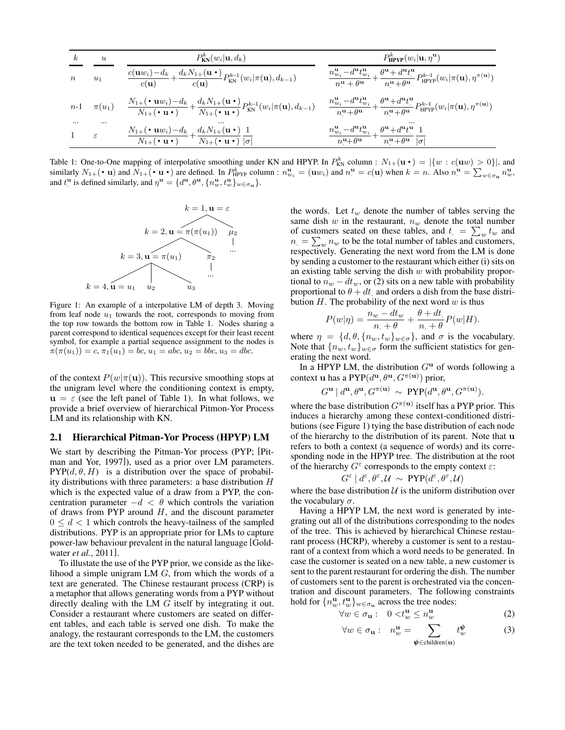| $\kappa$         | $\boldsymbol{u}$ | $P_{KN}^{k}(w_i \mathbf{u}, d_k)$                                                                                                                                                                                                                    | $P_{\text{HPYP}}^k(w_i   \mathbf{u}, \eta^{\mathbf{u}})$                                                                                                                                                                                                                                 |
|------------------|------------------|------------------------------------------------------------------------------------------------------------------------------------------------------------------------------------------------------------------------------------------------------|------------------------------------------------------------------------------------------------------------------------------------------------------------------------------------------------------------------------------------------------------------------------------------------|
| $\boldsymbol{n}$ | $u_1$            | $\frac{c(\mathbf{u}w_i)-d_k}{c(\mathbf{u})}+\frac{d_kN_{1+}(\mathbf{u}\bullet)}{c(\mathbf{u})}P_{\text{KN}}^{k-1}(w_i \pi(\mathbf{u}),d_{k-1})$                                                                                                      | $\frac{n^{\mathbf{u}}_{w_i} - d^{\mathbf{u}} t^{\mathbf{u}}_{w_i}}{n^{\mathbf{u}} + \theta^{\mathbf{u}}} + \frac{\theta^{\mathbf{u}} + d^{\mathbf{u}} t^{\mathbf{u}}}{n^{\mathbf{u}} + \theta^{\mathbf{u}}} P^{k-1}_{\text{HPYP}}(w_i   \pi(\mathbf{u}), \eta^{\pi(\mathbf{u})})$        |
| $n-1$            | $\pi(u_1)$       | $\frac{N_{1+}(\mathbf{\cdot} \mathbf{u} w_i)-d_k}{N_{1+}(\mathbf{\cdot} \mathbf{u} \mathbf{\cdot})}+\frac{d_k N_{1+}(\mathbf{u} \mathbf{\cdot})}{N_{1+}(\mathbf{\cdot} \mathbf{u} \mathbf{\cdot})}P_{\text{KN}}^{k-1}(w_i \pi(\mathbf{u}), d_{k-1})$ | $-\frac{n^{\mathbf{u}}_{w_i} - d^{\mathbf{u}} t^{\mathbf{u}}_{w_i}}{n^{\mathbf{u}} + \theta^{\mathbf{u}}} + \frac{\theta^{\mathbf{u}} + d^{\mathbf{u}} t^{\mathbf{u}}_{\cdot}}{n^{\mathbf{u}} + \theta^{\mathbf{u}}} P^{k-1}_{\text{HPYP}}(w_i \pi(\mathbf{u}), \eta^{\pi(\mathbf{u})})$ |
| $\cdots$         | <br>ε            | $N_{1+}(\cdot \mathbf{u}w_i)-d_k + d_k N_{1+}(\mathbf{u} \cdot)$ 1<br>$N_{1+}(\cdot \mathbf{u} \cdot)$ $\overline{N_{1+}(\cdot \mathbf{u} \cdot) [\sigma]}$                                                                                          | $\frac{n^{\mathbf{u}}_{w_i} - d^{\mathbf{u}} t^{\mathbf{u}}_{w_i}}{n^{\mathbf{u}} + \theta^{\mathbf{u}}} + \frac{\theta^{\mathbf{u}} + d^{\mathbf{u}} t^{\mathbf{u}}}{n^{\mathbf{u}} + \theta^{\mathbf{u}}} \frac{1}{ \sigma }$                                                          |

Table 1: One-to-One mapping of interpolative smoothing under KN and HPYP. In  $P_{KN}^k$  column :  $N_{1+}(\mathbf{u} \cdot) = |\{w : c(\mathbf{u}w) > 0\}|$ , and similarly  $N_{1+}(\cdot \mathbf{u})$  and  $N_{1+}(\cdot \mathbf{u} \cdot)$  and  $N_{1+}(\cdot \mathbf{u} \cdot)$  and  $N_{1+}(\cdot \$ and  $t^{\mathbf{u}}$  is defined similarly, and  $\eta^{\mathbf{u}} = \{d^{\mathbf{u}}, \theta^{\mathbf{u}}, \{n^{\mathbf{u}}_w, t^{\mathbf{u}}_w\}_{w \in \sigma_{\mathbf{u}}}\}.$ 



Figure 1: An example of a interpolative LM of depth 3. Moving from leaf node  $u_1$  towards the root, corresponds to moving from the top row towards the bottom row in Table 1. Nodes sharing a parent correspond to identical sequences except for their least recent symbol, for example a partial sequence assignment to the nodes is  $\pi(\pi(u_1)) = c, \pi_1(u_1) = bc, u_1 = abc, u_2 = bbc, u_3 = dbc.$ 

of the context  $P(w|\pi(\mathbf{u}))$ . This recursive smoothing stops at the unigram level where the conditioning context is empty,  $u = \varepsilon$  (see the left panel of Table 1). In what follows, we provide a brief overview of hierarchical Pitmon-Yor Process LM and its relationship with KN.

#### 2.1 Hierarchical Pitman-Yor Process (HPYP) LM

We start by describing the Pitman-Yor process (PYP; [Pitman and Yor, 1997]), used as a prior over LM parameters.  $PYP(d, \theta, H)$  is a distribution over the space of probability distributions with three parameters: a base distribution  $H$ which is the expected value of a draw from a PYP, the concentration parameter  $-d < \theta$  which controls the variation of draws from PYP around  $H$ , and the discount parameter  $0 \leq d < 1$  which controls the heavy-tailness of the sampled distributions. PYP is an appropriate prior for LMs to capture power-law behaviour prevalent in the natural language [Goldwater *et al.*, 2011].

To illustate the use of the PYP prior, we conside as the likelihood a simple unigram LM G, from which the words of a text are generated. The Chinese restaurant process (CRP) is a metaphor that allows generating words from a PYP without directly dealing with the LM G itself by integrating it out. Consider a restaurant where customers are seated on different tables, and each table is served one dish. To make the analogy, the restaurant corresponds to the LM, the customers are the text token needed to be generated, and the dishes are the words. Let  $t_w$  denote the number of tables serving the same dish w in the restaurant,  $n_w$  denote the total number of customers seated on these tables, and  $t = \sum_{w} t_w$  and  $n_{\cdot} = \sum_{w} n_{w}$  to be the total number of tables and customers, respectively. Generating the next word from the LM is done by sending a customer to the restaurant which either (i) sits on an existing table serving the dish  $w$  with probability proportional to  $n_w - dt_w$ , or (2) sits on a new table with probability proportional to  $\theta + dt$  and orders a dish from the base distribution H. The probability of the next word  $w$  is thus

$$
P(w|\eta) = \frac{n_w - dt_w}{n + \theta} + \frac{\theta + dt}{n + \theta} P(w|H).
$$

where  $\eta = \{d, \theta, \{n_w, t_w\}_{w \in \sigma}\}\$ , and  $\sigma$  is the vocabulary. Note that  $\{n_w, t_w\}_{w \in \sigma}$  form the sufficient statistics for generating the next word.

In a HPYP LM, the distribution  $G^{\mathbf{u}}$  of words following a context **u** has a PYP $(d^{\mathbf{u}}, \theta^{\mathbf{u}}, G^{\pi(\mathbf{u})})$  prior,

$$
G^{\mathbf{u}}\mid d^{\mathbf{u}}, \theta^{\mathbf{u}}, G^{\pi(\mathbf{u})}\ \sim\ \text{PYP}(d^{\mathbf{u}}, \theta^{\mathbf{u}}, G^{\pi(\mathbf{u})}).
$$

where the base distribution  $G^{\pi(\mathbf{u})}$  itself has a PYP prior. This induces a hierarchy among these context-conditioned distributions (see Figure 1) tying the base distribution of each node of the hierarchy to the distribution of its parent. Note that u refers to both a context (a sequence of words) and its corresponding node in the HPYP tree. The distribution at the root of the hierarchy  $G^{\varepsilon}$  corresponds to the empty context  $\varepsilon$ :

$$
G^{\varepsilon} | d^{\varepsilon}, \theta^{\varepsilon}, \mathcal{U} \sim \text{PYP}(d^{\varepsilon}, \theta^{\varepsilon}, \mathcal{U})
$$

where the base distribution  $U$  is the uniform distribution over the vocabulary  $\sigma$ .

Having a HPYP LM, the next word is generated by integrating out all of the distributions corresponding to the nodes of the tree. This is achieved by hierarchical Chinese restaurant process (HCRP), whereby a customer is sent to a restaurant of a context from which a word needs to be generated. In case the customer is seated on a new table, a new customer is sent to the parent restaurant for ordering the dish. The number of customers sent to the parent is orchestrated via the concentration and discount parameters. The following constraints hold for  $\{n_w^{\mathbf{u}}, t_w^{\mathbf{u}}\}_{w \in \sigma_{\mathbf{u}}}$  across the tree nodes:

$$
\forall w \in \sigma_{\mathbf{u}} : \quad 0 < t_w^{\mathbf{u}} \le n_w^{\mathbf{u}} \tag{2}
$$

$$
\forall w \in \sigma_{\mathbf{u}} : n_w^{\mathbf{u}} = \sum_{\boldsymbol{\psi} \in \text{children}(\mathbf{u})} t_w^{\boldsymbol{\psi}} \tag{3}
$$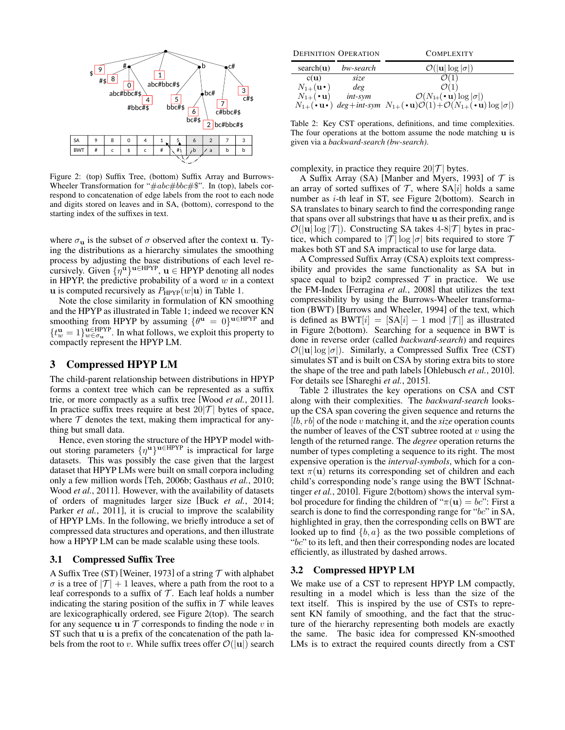

Figure 2: (top) Suffix Tree, (bottom) Suffix Array and Burrows-Wheeler Transformation for " $\#abc\#bbc\#\$$ ". In (top), labels correspond to concatenation of edge labels from the root to each node and digits stored on leaves and in SA, (bottom), correspond to the starting index of the suffixes in text.

where  $\sigma_{\bf u}$  is the subset of  $\sigma$  observed after the context **u**. Tying the distributions as a hierarchy simulates the smoothing process by adjusting the base distributions of each level recursively. Given  $\{\eta^{\mathbf{u}}\}^{\mathbf{u}\in \text{HPYP}}$ ,  $\mathbf{u} \in \text{HPYP}$  denoting all nodes in HPYP, the predictive probability of a word  $w$  in a context u is computed recursively as  $P_{HPYP}(w|\mathbf{u})$  in Table 1.

Note the close similarity in formulation of KN smoothing and the HPYP as illustrated in Table 1; indeed we recover KN smoothing from HPYP by assuming  $\{\theta^{\mathbf{u}} = 0\}^{\mathbf{u} \in \text{HPYP}}$  and  $\{t_w^{\mathbf{u}}=1\}_{w\in\sigma_{\mathbf{u}}}^{\mathbf{u}\in\text{HPYP}}$ . In what follows, we exploit this property to compactly represent the HPYP LM.

### 3 Compressed HPYP LM

The child-parent relationship between distributions in HPYP forms a context tree which can be represented as a suffix trie, or more compactly as a suffix tree [Wood *et al.*, 2011]. In practice suffix trees require at best  $20|\mathcal{T}|$  bytes of space, where  $T$  denotes the text, making them impractical for anything but small data.

Hence, even storing the structure of the HPYP model without storing parameters  $\{\eta^{\mathbf{u}}\}^{\mathbf{u}\in HPYP}$  is impractical for large datasets. This was possibly the case given that the largest dataset that HPYP LMs were built on small corpora including only a few million words [Teh, 2006b; Gasthaus *et al.*, 2010; Wood *et al.*, 2011]. However, with the availability of datasets of orders of magnitudes larger size [Buck *et al.*, 2014; Parker *et al.*, 2011], it is crucial to improve the scalability of HPYP LMs. In the following, we briefly introduce a set of compressed data structures and operations, and then illustrate how a HPYP LM can be made scalable using these tools.

#### 3.1 Compressed Suffix Tree

A Suffix Tree (ST) [Weiner, 1973] of a string  $\mathcal T$  with alphabet  $\sigma$  is a tree of  $|\mathcal{T}| + 1$  leaves, where a path from the root to a leaf corresponds to a suffix of  $T$ . Each leaf holds a number indicating the staring position of the suffix in  $T$  while leaves are lexicographically ordered, see Figure 2(top). The search for any sequence **u** in  $T$  corresponds to finding the node v in ST such that u is a prefix of the concatenation of the path labels from the root to v. While suffix trees offer  $\mathcal{O}(|\mathbf{u}|)$  search

| <b>DEFINITION OPERATION</b> |            | <b>COMPLEXITY</b>                                                                                                                      |  |  |
|-----------------------------|------------|----------------------------------------------------------------------------------------------------------------------------------------|--|--|
| search(u)                   | bw-search  | $\mathcal{O}( \mathbf{u}  \log  \sigma )$                                                                                              |  |  |
| $c(\mathbf{u})$             | size       |                                                                                                                                        |  |  |
| $N_{1+}(\mathbf{u}\cdot)$   | deg        | $\mathcal{O}(1)$                                                                                                                       |  |  |
| $N_{1+}(\cdot \mathbf{u})$  | $int$ -sym | $\mathcal{O}(N_{1+}(\cdot \mathbf{u}) \log  \sigma )$                                                                                  |  |  |
|                             |            | $N_{1+}(\cdot \mathbf{u}\cdot)$ deg+int-sym $N_{1+}(\cdot \mathbf{u})\mathcal{O}(1)+\mathcal{O}(N_{1+}(\cdot \mathbf{u})\log \sigma )$ |  |  |

Table 2: Key CST operations, definitions, and time complexities. The four operations at the bottom assume the node matching  $\bf{u}$  is given via a *backward-search (bw-search)*.

complexity, in practice they require  $20|\mathcal{T}|$  bytes.

A Suffix Array (SA) [Manber and Myers, 1993] of  $\mathcal T$  is an array of sorted suffixes of  $\mathcal{T}$ , where  $SA[i]$  holds a same number as  $i$ -th leaf in ST, see Figure 2(bottom). Search in SA translates to binary search to find the corresponding range that spans over all substrings that have u as their prefix, and is  $\mathcal{O}(|\mathbf{u}| \log |\mathcal{T}|)$ . Constructing SA takes 4-8|T| bytes in practice, which compared to  $|\mathcal{T}| \log |\sigma|$  bits required to store  $\mathcal T$ makes both ST and SA impractical to use for large data.

A Compressed Suffix Array (CSA) exploits text compressibility and provides the same functionality as SA but in space equal to bzip2 compressed  $\mathcal T$  in practice. We use the FM-Index [Ferragina *et al.*, 2008] that utilizes the text compressibility by using the Burrows-Wheeler transformation (BWT) [Burrows and Wheeler, 1994] of the text, which is defined as  $BWT[i] = |SA[i] - 1 \mod |T|$  as illustrated in Figure 2(bottom). Searching for a sequence in BWT is done in reverse order (called *backward-search*) and requires  $\mathcal{O}(|\mathbf{u}| \log |\sigma|)$ . Similarly, a Compressed Suffix Tree (CST) simulates ST and is built on CSA by storing extra bits to store the shape of the tree and path labels [Ohlebusch *et al.*, 2010]. For details see [Shareghi *et al.*, 2015].

Table 2 illustrates the key operations on CSA and CST along with their complexities. The *backward-search* looksup the CSA span covering the given sequence and returns the [lb, rb] of the node v matching it, and the *size* operation counts the number of leaves of the CST subtree rooted at  $v$  using the length of the returned range. The *degree* operation returns the number of types completing a sequence to its right. The most expensive operation is the *interval-symbols*, which for a context  $\pi(\mathbf{u})$  returns its corresponding set of children and each child's corresponding node's range using the BWT [Schnattinger *et al.*, 2010]. Figure 2(bottom) shows the interval symbol procedure for finding the children of " $\pi(\mathbf{u}) = bc$ ": First a search is done to find the corresponding range for "bc" in SA, highlighted in gray, then the corresponding cells on BWT are looked up to find  $\{b, a\}$  as the two possible completions of "bc" to its left, and then their corresponding nodes are located efficiently, as illustrated by dashed arrows.

#### 3.2 Compressed HPYP LM

We make use of a CST to represent HPYP LM compactly, resulting in a model which is less than the size of the text itself. This is inspired by the use of CSTs to represent KN family of smoothing, and the fact that the structure of the hierarchy representing both models are exactly the same. The basic idea for compressed KN-smoothed LMs is to extract the required counts directly from a CST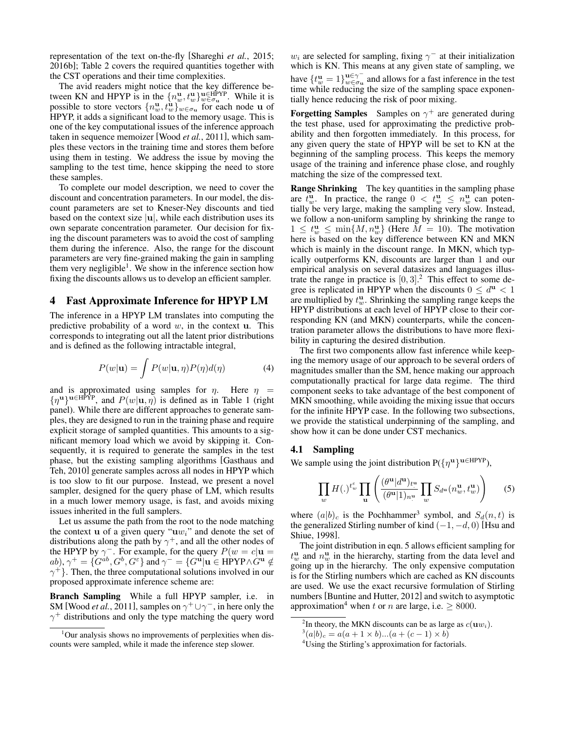representation of the text on-the-fly [Shareghi *et al.*, 2015; 2016b]; Table 2 covers the required quantities together with the CST operations and their time complexities.

The avid readers might notice that the key difference between KN and HPYP is in the  $\{n_w^{\mathbf{u}}, t_w^{\mathbf{u}}\}_{w \in \sigma_{\mathbf{u}}}^{\mathbf{u} \in \text{HPYP}}$ . While it is possible to store vectors  $\{n_w^{\mathbf{u}}, t_w^{\mathbf{u}}\}_{w \in \sigma_{\mathbf{u}}}$  for each node **u** of HPYP, it adds a significant load to the memory usage. This is one of the key computational issues of the inference approach taken in sequence memoizer [Wood *et al.*, 2011], which samples these vectors in the training time and stores them before using them in testing. We address the issue by moving the sampling to the test time, hence skipping the need to store these samples.

To complete our model description, we need to cover the discount and concentration parameters. In our model, the discount parameters are set to Kneser-Ney discounts and tied based on the context size  $|u|$ , while each distribution uses its own separate concentration parameter. Our decision for fixing the discount parameters was to avoid the cost of sampling them during the inference. Also, the range for the discount parameters are very fine-grained making the gain in sampling them very negligible<sup>1</sup>. We show in the inference section how fixing the discounts allows us to develop an efficient sampler.

### 4 Fast Approximate Inference for HPYP LM

The inference in a HPYP LM translates into computing the predictive probability of a word  $w$ , in the context u. This corresponds to integrating out all the latent prior distributions and is defined as the following intractable integral,

$$
P(w|\mathbf{u}) = \int P(w|\mathbf{u}, \eta) P(\eta) d(\eta) \tag{4}
$$

and is approximated using samples for  $\eta$ . Here  $\eta$  =  ${\{\eta^{\mathbf{u}}\}}^{\mathbf{u}\in\mathrm{HP}\hat{\Upsilon}P}$ , and  $P(w|\mathbf{u},\eta)$  is defined as in Table 1 (right panel). While there are different approaches to generate samples, they are designed to run in the training phase and require explicit storage of sampled quantities. This amounts to a significant memory load which we avoid by skipping it. Consequently, it is required to generate the samples in the test phase, but the existing sampling algorithms [Gasthaus and Teh, 2010] generate samples across all nodes in HPYP which is too slow to fit our purpose. Instead, we present a novel sampler, designed for the query phase of LM, which results in a much lower memory usage, is fast, and avoids mixing issues inherited in the full samplers.

Let us assume the path from the root to the node matching the context  $\bf{u}$  of a given query " $\bf{u}w_i$ " and denote the set of distributions along the path by  $\gamma^+$ , and all the other nodes of the HPYP by  $\gamma^{-}$ . For example, for the query  $P(w = c | \mathbf{u} =$  $(ab), \gamma^+ = \{G^{ab}, G^b, G^{\varepsilon}\}$  and  $\gamma^- = \{G^{\hat{\mathbf{u}}} | \mathbf{u} \in \mathrm{HPYP} \wedge G^{\mathbf{u}} \notin \mathbb{R} \}$  $\gamma^+$ }. Then, the three computational solutions involved in our proposed approximate inference scheme are:

Branch Sampling While a full HPYP sampler, i.e. in SM [Wood *et al.*, 2011], samples on  $\gamma^+ \cup \gamma^-$ , in here only the  $\gamma^+$  distributions and only the type matching the query word

 $w_i$  are selected for sampling, fixing  $\gamma^-$  at their initialization which is KN. This means at any given state of sampling, we have  $\{t_w^{\mathbf{u}} = 1\}_{w \in \sigma_{\mathbf{u}}}^{\mathbf{u} \in \gamma^{-}}$  $w \in \gamma_u$  and allows for a fast inference in the test time while reducing the size of the sampling space exponentially hence reducing the risk of poor mixing.

**Forgetting Samples** Samples on  $\gamma^+$  are generated during the test phase, used for approximating the predictive probability and then forgotten immediately. In this process, for any given query the state of HPYP will be set to KN at the beginning of the sampling process. This keeps the memory usage of the training and inference phase close, and roughly matching the size of the compressed text.

Range Shrinking The key quantities in the sampling phase are  $t_w^{\mathbf{u}}$ . In practice, the range  $0 < t_w^{\mathbf{u}} \leq n_w^{\mathbf{u}}$  can potentially be very large, making the sampling very slow. Instead, we follow a non-uniform sampling by shrinking the range to  $1 \leq t_w^{\mathbf{u}} \leq \min\{M, n_w^{\mathbf{u}}\}$  (Here  $M = 10$ ). The motivation here is based on the key difference between KN and MKN which is mainly in the discount range. In MKN, which typically outperforms KN, discounts are larger than 1 and our empirical analysis on several datasizes and languages illustrate the range in practice is  $[0,3]$ .<sup>2</sup> This effect to some degree is replicated in HPYP when the discounts  $0 \le d^{\mathbf{u}} < 1$ are multiplied by  $t_w^{\mathbf{u}}$ . Shrinking the sampling range keeps the HPYP distributions at each level of HPYP close to their corresponding KN (and MKN) counterparts, while the concentration parameter allows the distributions to have more flexibility in capturing the desired distribution.

The first two components allow fast inference while keeping the memory usage of our approach to be several orders of magnitudes smaller than the SM, hence making our approach computationally practical for large data regime. The third component seeks to take advantage of the best component of MKN smoothing, while avoiding the mixing issue that occurs for the infinite HPYP case. In the following two subsections, we provide the statistical underpinning of the sampling, and show how it can be done under CST mechanics.

#### 4.1 Sampling

We sample using the joint distribution  $P({\eta^u})^{u \in HPYP}$ ),

$$
\prod_{w} H(.)^{t_w} \prod_{\mathbf{u}} \left( \frac{(\theta^{\mathbf{u}}|d^{\mathbf{u}})_{t^{\mathbf{u}}}}{(\theta^{\mathbf{u}}|1)_{n^{\mathbf{u}}}} \prod_{w} S_{d^{\mathbf{u}}}(n_w^{\mathbf{u}}, t_w^{\mathbf{u}}) \right) \tag{5}
$$

where  $(a|b)_c$  is the Pochhammer<sup>3</sup> symbol, and  $S_d(n,t)$  is the generalized Stirling number of kind  $(-1, -d, 0)$  [Hsu and Shiue, 1998].

The joint distribution in eqn. 5 allows efficient sampling for  $t_w^{\mathbf{u}}$  and  $n_w^{\mathbf{u}}$  in the hierarchy, starting from the data level and going up in the hierarchy. The only expensive computation is for the Stirling numbers which are cached as KN discounts are used. We use the exact recursive formulation of Stirling numbers [Buntine and Hutter, 2012] and switch to asymptotic approximation<sup>4</sup> when t or n are large, i.e.  $\geq 8000$ .

<sup>&</sup>lt;sup>1</sup>Our analysis shows no improvements of perplexities when discounts were sampled, while it made the inference step slower.

<sup>&</sup>lt;sup>2</sup>In theory, the MKN discounts can be as large as  $c(\mathbf{u}w_i)$ .

 $3(a|b)_c = a(a+1 \times b)...(a+(c-1) \times b)$ 

<sup>&</sup>lt;sup>4</sup>Using the Stirling's approximation for factorials.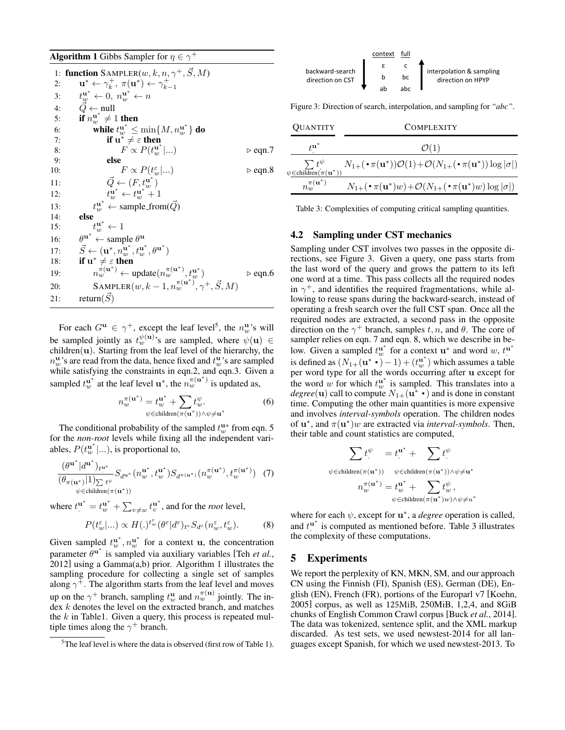**Algorithm 1** Gibbs Sampler for  $\eta \in \gamma^+$ 

1: function  $\text{SAMPLER}(w, k, n, \gamma^+, \vec{S}, M)$ 2:  $\mathbf{u}^* \leftarrow \gamma_k^+, \ \pi(\mathbf{u}^*) \leftarrow \gamma_{k-1}^+$  $3:$  $\mathbf{u}^*_{w} \leftarrow 0, n_{w}^{\mathbf{u}^*} \leftarrow n$ 4:  $\vec{Q} \leftarrow \text{null}$ 5: if  $n_w^{\mathbf{u}^*} \neq 1$  then 6: while  $t_w^{\mathbf{u}^*} \leq \min\{M,n_w^{\mathbf{u}^*}\}\$  do 7: **if**  $\mathbf{u}^* \neq \varepsilon$  then 8:  $F^{'} \propto P(t_w^{u^*}|...)$   $\triangleright$  eqn.7 9: else 10:  $F \propto P(t_w^{\varepsilon}|...)$   $\triangleright$  eqn.8 11:  $\vec{Q} \leftarrow (F, t_w^{u^*})$ 12:  $t_w^{\mathbf{u}^*} \leftarrow t_w^{\mathbf{u}^*} + 1$ 13:  $t_w^{\mathbf{u}^*} \leftarrow \text{sample\_from}(\vec{Q})$ 14: else 15:  $t_{w}^{\mathbf{u}^*}$  $t_w^{\mathbf{u}^*} \leftarrow 1$ 16:  $\mathbf{u}^* \leftarrow$  sample  $\theta^{\mathbf{u}}$ 17:  $\vec{S} \leftarrow (\mathbf{u}^*, n_w^{\mathbf{u}^*}, t_w^{\mathbf{u}^*}, \theta^{\mathbf{u}^*})$ 18: if  $u^* \neq \varepsilon$  then 19:  $n_w^{\pi(\mathbf{u}^*)} \leftarrow \text{update}(n_w^{\pi(\mathbf{u}^*)}, t_w^{\mathbf{u}^*}) \qquad \Rightarrow \text{eqn.6}$ 20: SAMPLER $(w, k-1, n_w^{\pi({\bf u}^*)}, \gamma^+, \vec{S}, M)$ 21: return $(\vec{S})$ 

For each  $G^{\mathbf{u}} \in \gamma^{+}$ , except the leaf level<sup>5</sup>, the  $n_{w}^{\mathbf{u}}$ 's will be sampled jointly as  $t_w^{\psi({\bf u})}$ 's are sampled, where  $\psi({\bf u}) \in$  $children(u)$ . Starting from the leaf level of the hierarchy, the  $n_w^{\mathbf{u}}$ 's are read from the data, hence fixed and  $t_w^{\mathbf{u}}$ 's are sampled while satisfying the constraints in eqn.2, and eqn.3. Given a sampled  $t_w^{\mathbf{u}^*}$  at the leaf level  $\mathbf{u}^*$ , the  $n_w^{\pi(\mathbf{u}^*)}$  is updated as,

$$
n_w^{\pi(\mathbf{u}^*)} = t_w^{\mathbf{u}^*} + \sum_{\psi \in \text{children}(\pi(\mathbf{u}^*)) \land \psi \neq \mathbf{u}^*} t_w^{\psi}.
$$
 (6)

The conditional probability of the sampled  $t_w^{\mathbf{u}*}$  from eqn. 5 for the *non-root* levels while fixing all the independent variables,  $P(t_w^{\mathbf{u}^*}|...)$ , is proportional to,

$$
\frac{(\theta^{\mathbf{u}^*}|d^{\mathbf{u}^*})_{t^{\mathbf{u}^*}}}{(\theta_{\pi(\mathbf{u}^*)}|1)_{\sum t_\cdot^\psi}} S_{d^{\mathbf{u}^*}}(n_w^{\mathbf{u}^*}, t_w^{\mathbf{u}^*}) S_{d^{\pi(\mathbf{u}^*)}}(n_w^{\pi(\mathbf{u}^*)}, t_w^{\pi(\mathbf{u}^*)})
$$
(7)  

$$
\psi \in \text{children}(\pi(\mathbf{u}^*))
$$

where  $t^{\mathbf{u}^*} = t^{\mathbf{u}^*}_w + \sum_{v \neq w} t^{\mathbf{u}^*}_v$ , and for the *root* level,

$$
P(t_w^{\varepsilon}|...) \propto H(.)^{t_w^{\varepsilon}}(\theta^{\varepsilon}|d^{\varepsilon})_{t^{\varepsilon}} S_{d^{\varepsilon}}(n_w^{\varepsilon}, t_w^{\varepsilon}). \tag{8}
$$

Given sampled  $t_w^*$ ,  $n_w^*$  for a context **u**, the concentration parameter  $\theta$ <sup>*u*\*</sup> is sampled via auxiliary variables [Teh *et al.*, 2012] using a Gamma(a,b) prior. Algorithm 1 illustrates the sampling procedure for collecting a single set of samples along  $\gamma^{\ddagger}$ . The algorithm starts from the leaf level and moves up on the  $\gamma^+$  branch, sampling  $t_w^{\mathbf{u}}$  and  $n_w^{\pi(\mathbf{u})}$  jointly. The index k denotes the level on the extracted branch, and matches the  $k$  in Table1. Given a query, this process is repeated multiple times along the  $\gamma^+$  branch.

|                  | context | full |                                               |
|------------------|---------|------|-----------------------------------------------|
| backward-search  |         |      |                                               |
| direction on CST |         | bc   | interpolation & sampling<br>direction on HPYP |
|                  |         | ahr  |                                               |

Figure 3: Direction of search, interpolation, and sampling for *"abc"*.

| <b>QUANTITY</b>                                   | <b>COMPLEXITY</b>                                                                                                             |  |  |
|---------------------------------------------------|-------------------------------------------------------------------------------------------------------------------------------|--|--|
| +u^                                               | $\mathcal{O}(1)$                                                                                                              |  |  |
| $\psi{\in}chil\overline{dr}en(\pi(\mathbf{u}^*))$ | $\sum t^{\psi} \qquad N_{1+}(\cdot \pi(\mathbf{u}^*))\mathcal{O}(1)+\mathcal{O}(N_{1+}(\cdot \pi(\mathbf{u}^*))\log \sigma )$ |  |  |
| $n_w^{\pi({\bf u}^*)}$                            | $N_{1+}(\cdot \pi(\mathbf{u}^*)w) + \mathcal{O}(N_{1+}(\cdot \pi(\mathbf{u}^*)w) \log  \sigma )$                              |  |  |

Table 3: Complexities of computing critical sampling quantities.

#### 4.2 Sampling under CST mechanics

Sampling under CST involves two passes in the opposite directions, see Figure 3. Given a query, one pass starts from the last word of the query and grows the pattern to its left one word at a time. This pass collects all the required nodes in  $\gamma^+$ , and identifies the required fragmentations, while allowing to reuse spans during the backward-search, instead of operating a fresh search over the full CST span. Once all the required nodes are extracted, a second pass in the opposite direction on the  $\gamma^+$  branch, samples t, n, and  $\theta$ . The core of sampler relies on eqn. 7 and eqn. 8, which we describe in below. Given a sampled  $t_w^u^*$  for a context  $u^*$  and word w,  $t^{u^*}$ <br>is defined as  $(N_{1+}(u^* \cdot) - 1) + (t_w^u^*)$  which assumes a table per word type for all the words occurring after u except for the word w for which  $t_w^{\mathbf{u}^*}$  is sampled. This translates into a the word w for which  $t_w^{\text{w}}$  is sampled. This translates into a *degree* (**u**) call to compute  $N_{1+}(\mathbf{u}^* \cdot)$  and is done in constant time. Computing the other main quantities is more amonging time. Computing the other main quantities is more expensive and involves *interval-symbols* operation. The children nodes of  $\mathbf{u}^*$ , and  $\pi(\mathbf{u}^*)w$  are extracted via *interval-symbols*. Then, their table and count statistics are computed,

$$
\begin{aligned} \sum t^{\psi} &= t^{ \mathbf{u}^*} + \sum t^{\psi} \\ \psi \in \text{children}(\pi(\mathbf{u}^*)) \quad \psi \in \text{children}(\pi(\mathbf{u}^*)) \land \psi \neq \mathbf{u}^* \\ n^{\pi}_w(\mathbf{u}^*) &= t^{\mathbf{u}^*}_w + \sum_{\psi \in \text{children}(\pi(\mathbf{u}^*) w) \land \psi \neq u^*} t^{\psi}_w, \end{aligned}
$$

where for each  $\psi$ , except for  $\mathbf{u}^*$ , a *degree* operation is called, and  $t_1^{\mathbf{u}^*}$  is computed as mentioned before. Table 3 illustrates the complexity of these computations.

#### 5 Experiments

We report the perplexity of KN, MKN, SM, and our approach CN using the Finnish (FI), Spanish (ES), German (DE), English (EN), French (FR), portions of the Europarl v7 [Koehn, 2005] corpus, as well as 125MiB, 250MiB, 1,2,4, and 8GiB chunks of English Common Crawl corpus [Buck *et al.*, 2014]. The data was tokenized, sentence split, and the XML markup discarded. As test sets, we used newstest-2014 for all languages except Spanish, for which we used newstest-2013. To

 $5$ The leaf level is where the data is observed (first row of Table 1).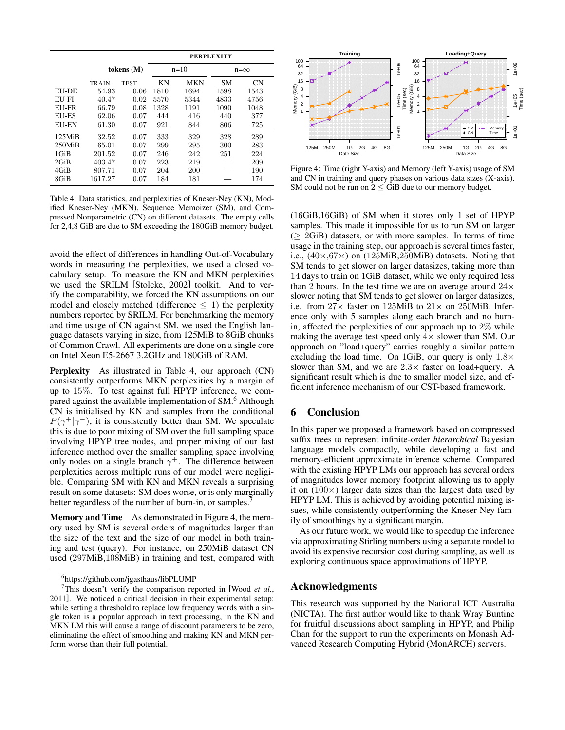|                     |              |             | <b>PERPLEXITY</b> |            |              |           |
|---------------------|--------------|-------------|-------------------|------------|--------------|-----------|
|                     | tokens $(M)$ |             | $n=10$            |            | $n = \infty$ |           |
|                     | TRAIN        | <b>TEST</b> | ΚN                | <b>MKN</b> | <b>SM</b>    | <b>CN</b> |
| EU-DE               | 54.93        | 0.06        | 1810              | 1694       | 1598         | 1543      |
| EU-FI               | 40.47        | 0.02        | 5570              | 5344       | 4833         | 4756      |
| EU-FR               | 66.79        | 0.08        | 1328              | 1191       | 1090         | 1048      |
| <b>EU-ES</b>        | 62.06        | 0.07        | 444               | 416        | 440          | 377       |
| <b>EU-EN</b>        | 61.30        | 0.07        | 921               | 844        | 806          | 725       |
| 125M <sub>i</sub> B | 32.52        | 0.07        | 333               | 329        | 328          | 289       |
| $250$ MiB           | 65.01        | 0.07        | 299               | 295        | 300          | 283       |
| $1$ GiB             | 201.52       | 0.07        | 246               | 242        | 251          | 224       |
| 2GiB                | 403.47       | 0.07        | 223               | 219        |              | 209       |
| 4GiB                | 807.71       | 0.07        | 204               | 200        |              | 190       |
| 8GiB                | 1617.27      | 0.07        | 184               | 181        |              | 174       |

Table 4: Data statistics, and perplexities of Kneser-Ney (KN), Modified Kneser-Ney (MKN), Sequence Memoizer (SM), and Compressed Nonparametric (CN) on different datasets. The empty cells for 2,4,8 GiB are due to SM exceeding the 180GiB memory budget.

avoid the effect of differences in handling Out-of-Vocabulary words in measuring the perplexities, we used a closed vocabulary setup. To measure the KN and MKN perplexities we used the SRILM [Stolcke, 2002] toolkit. And to verify the comparability, we forced the KN assumptions on our model and closely matched (difference  $\leq$  1) the perplexity numbers reported by SRILM. For benchmarking the memory and time usage of CN against SM, we used the English language datasets varying in size, from 125MiB to 8GiB chunks of Common Crawl. All experiments are done on a single core on Intel Xeon E5-2667 3.2GHz and 180GiB of RAM.

Perplexity As illustrated in Table 4, our approach (CN) consistently outperforms MKN perplexities by a margin of up to 15%. To test against full HPYP inference, we compared against the available implementation of SM.<sup>6</sup> Although CN is initialised by KN and samples from the conditional  $P(\gamma^+|\gamma^-)$ , it is consistently better than SM. We speculate this is due to poor mixing of SM over the full sampling space involving HPYP tree nodes, and proper mixing of our fast inference method over the smaller sampling space involving only nodes on a single branch  $\gamma^+$ . The difference between perplexities across multiple runs of our model were negligible. Comparing SM with KN and MKN reveals a surprising result on some datasets: SM does worse, or is only marginally better regardless of the number of burn-in, or samples.

Memory and Time As demonstrated in Figure 4, the memory used by SM is several orders of magnitudes larger than the size of the text and the size of our model in both training and test (query). For instance, on 250MiB dataset CN used (297MiB,108MiB) in training and test, compared with



Figure 4: Time (right Y-axis) and Memory (left Y-axis) usage of SM and CN in training and query phases on various data sizes (X-axis). SM could not be run on  $2 \leq G$ iB due to our memory budget.

(16GiB,16GiB) of SM when it stores only 1 set of HPYP samples. This made it impossible for us to run SM on larger  $(> 2GiB)$  datasets, or with more samples. In terms of time usage in the training step, our approach is several times faster, i.e.,  $(40\times,67\times)$  on  $(125\text{MiB},250\text{MiB})$  datasets. Noting that SM tends to get slower on larger datasizes, taking more than 14 days to train on 1GiB dataset, while we only required less than 2 hours. In the test time we are on average around  $24\times$ slower noting that SM tends to get slower on larger datasizes, i.e. from  $27\times$  faster on 125MiB to  $21\times$  on 250MiB. Inference only with 5 samples along each branch and no burnin, affected the perplexities of our approach up to  $2\%$  while making the average test speed only  $4 \times$  slower than SM. Our approach on "load+query" carries roughly a similar pattern excluding the load time. On 1GiB, our query is only  $1.8\times$ slower than SM, and we are  $2.3\times$  faster on load+query. A significant result which is due to smaller model size, and efficient inference mechanism of our CST-based framework.

### 6 Conclusion

In this paper we proposed a framework based on compressed suffix trees to represent infinite-order *hierarchical* Bayesian language models compactly, while developing a fast and memory-efficient approximate inference scheme. Compared with the existing HPYP LMs our approach has several orders of magnitudes lower memory footprint allowing us to apply it on  $(100\times)$  larger data sizes than the largest data used by HPYP LM. This is achieved by avoiding potential mixing issues, while consistently outperforming the Kneser-Ney family of smoothings by a significant margin.

As our future work, we would like to speedup the inference via approximating Stirling numbers using a separate model to avoid its expensive recursion cost during sampling, as well as exploring continuous space approximations of HPYP.

### Acknowledgments

This research was supported by the National ICT Australia (NICTA). The first author would like to thank Wray Buntine for fruitful discussions about sampling in HPYP, and Philip Chan for the support to run the experiments on Monash Advanced Research Computing Hybrid (MonARCH) servers.

<sup>6</sup> https://github.com/jgasthaus/libPLUMP

<sup>&</sup>lt;sup>7</sup>This doesn't verify the comparison reported in [Wood *et al.*, 2011]. We noticed a critical decision in their experimental setup: while setting a threshold to replace low frequency words with a single token is a popular approach in text processing, in the KN and MKN LM this will cause a range of discount parameters to be zero, eliminating the effect of smoothing and making KN and MKN perform worse than their full potential.